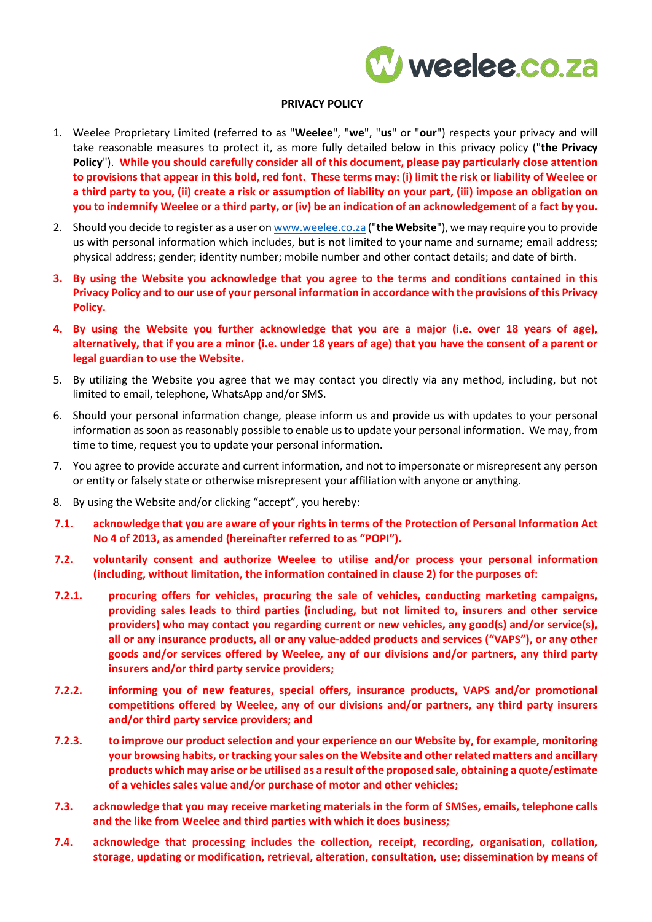

## **PRIVACY POLICY**

- 1. Weelee Proprietary Limited (referred to as "**Weelee**", "**we**", "**us**" or "**our**") respects your privacy and will take reasonable measures to protect it, as more fully detailed below in this privacy policy ("**the Privacy Policy**"). **While you should carefully consider all of this document, please pay particularly close attention to provisions that appear in this bold, red font. These terms may: (i) limit the risk or liability of Weelee or a third party to you, (ii) create a risk or assumption of liability on your part, (iii) impose an obligation on you to indemnify Weelee or a third party, or (iv) be an indication of an acknowledgement of a fact by you.**
- 2. Should you decide to register as a user o[n www.weelee.co.za](http://www.weelee.co.za/) ("**the Website**"), we may require you to provide us with personal information which includes, but is not limited to your name and surname; email address; physical address; gender; identity number; mobile number and other contact details; and date of birth.
- **3. By using the Website you acknowledge that you agree to the terms and conditions contained in this Privacy Policy and to our use of your personal information in accordance with the provisions of this Privacy Policy.**
- **4. By using the Website you further acknowledge that you are a major (i.e. over 18 years of age), alternatively, that if you are a minor (i.e. under 18 years of age) that you have the consent of a parent or legal guardian to use the Website.**
- 5. By utilizing the Website you agree that we may contact you directly via any method, including, but not limited to email, telephone, WhatsApp and/or SMS.
- 6. Should your personal information change, please inform us and provide us with updates to your personal information as soon as reasonably possible to enable us to update your personal information. We may, from time to time, request you to update your personal information.
- 7. You agree to provide accurate and current information, and not to impersonate or misrepresent any person or entity or falsely state or otherwise misrepresent your affiliation with anyone or anything.
- 8. By using the Website and/or clicking "accept", you hereby:
- **7.1. acknowledge that you are aware of your rights in terms of the Protection of Personal Information Act No 4 of 2013, as amended (hereinafter referred to as "POPI").**
- **7.2. voluntarily consent and authorize Weelee to utilise and/or process your personal information (including, without limitation, the information contained in clause 2) for the purposes of:**
- **7.2.1. procuring offers for vehicles, procuring the sale of vehicles, conducting marketing campaigns, providing sales leads to third parties (including, but not limited to, insurers and other service providers) who may contact you regarding current or new vehicles, any good(s) and/or service(s), all or any insurance products, all or any value-added products and services ("VAPS"), or any other goods and/or services offered by Weelee, any of our divisions and/or partners, any third party insurers and/or third party service providers;**
- **7.2.2. informing you of new features, special offers, insurance products, VAPS and/or promotional competitions offered by Weelee, any of our divisions and/or partners, any third party insurers and/or third party service providers; and**
- **7.2.3. to improve our product selection and your experience on our Website by, for example, monitoring your browsing habits, or tracking your sales on the Website and other related matters and ancillary products which may arise or be utilised as a result of the proposed sale, obtaining a quote/estimate of a vehicles sales value and/or purchase of motor and other vehicles;**
- **7.3. acknowledge that you may receive marketing materials in the form of SMSes, emails, telephone calls and the like from Weelee and third parties with which it does business;**
- **7.4. acknowledge that processing includes the collection, receipt, recording, organisation, collation, storage, updating or modification, retrieval, alteration, consultation, use; dissemination by means of**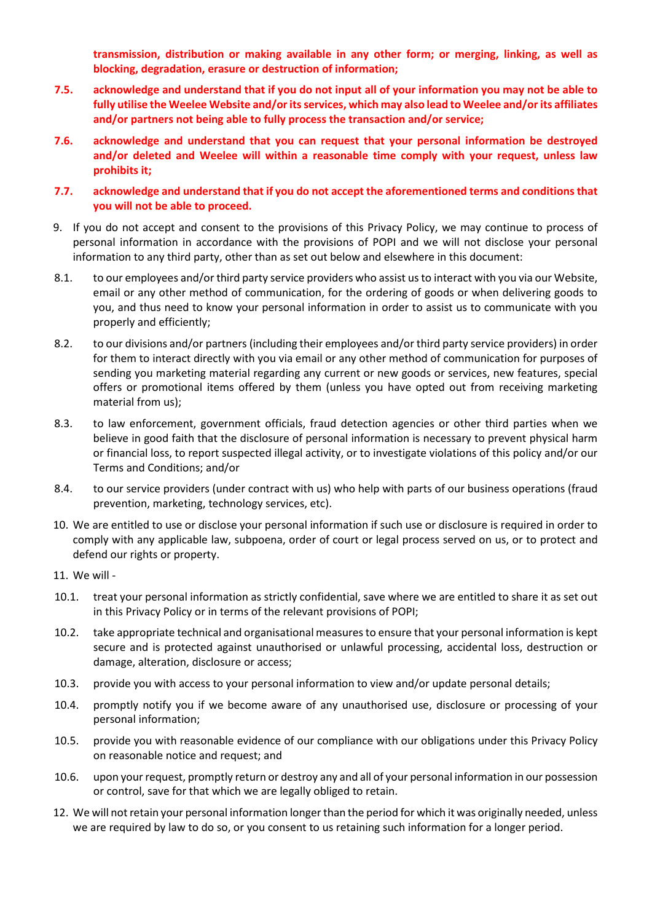**transmission, distribution or making available in any other form; or merging, linking, as well as blocking, degradation, erasure or destruction of information;**

- **7.5. acknowledge and understand that if you do not input all of your information you may not be able to fully utilise the Weelee Website and/orits services, which may also lead to Weelee and/or its affiliates and/or partners not being able to fully process the transaction and/or service;**
- **7.6. acknowledge and understand that you can request that your personal information be destroyed and/or deleted and Weelee will within a reasonable time comply with your request, unless law prohibits it;**
- **7.7. acknowledge and understand that if you do not accept the aforementioned terms and conditions that you will not be able to proceed.**
- 9. If you do not accept and consent to the provisions of this Privacy Policy, we may continue to process of personal information in accordance with the provisions of POPI and we will not disclose your personal information to any third party, other than as set out below and elsewhere in this document:
- 8.1. to our employees and/or third party service providers who assist us to interact with you via our Website, email or any other method of communication, for the ordering of goods or when delivering goods to you, and thus need to know your personal information in order to assist us to communicate with you properly and efficiently;
- 8.2. to our divisions and/or partners (including their employees and/or third party service providers) in order for them to interact directly with you via email or any other method of communication for purposes of sending you marketing material regarding any current or new goods or services, new features, special offers or promotional items offered by them (unless you have opted out from receiving marketing material from us);
- 8.3. to law enforcement, government officials, fraud detection agencies or other third parties when we believe in good faith that the disclosure of personal information is necessary to prevent physical harm or financial loss, to report suspected illegal activity, or to investigate violations of this policy and/or our Terms and Conditions; and/or
- 8.4. to our service providers (under contract with us) who help with parts of our business operations (fraud prevention, marketing, technology services, etc).
- 10. We are entitled to use or disclose your personal information if such use or disclosure is required in order to comply with any applicable law, subpoena, order of court or legal process served on us, or to protect and defend our rights or property.
- 11. We will -
- 10.1. treat your personal information as strictly confidential, save where we are entitled to share it as set out in this Privacy Policy or in terms of the relevant provisions of POPI;
- 10.2. take appropriate technical and organisational measures to ensure that your personal information is kept secure and is protected against unauthorised or unlawful processing, accidental loss, destruction or damage, alteration, disclosure or access;
- 10.3. provide you with access to your personal information to view and/or update personal details;
- 10.4. promptly notify you if we become aware of any unauthorised use, disclosure or processing of your personal information;
- 10.5. provide you with reasonable evidence of our compliance with our obligations under this Privacy Policy on reasonable notice and request; and
- 10.6. upon your request, promptly return or destroy any and all of your personal information in our possession or control, save for that which we are legally obliged to retain.
- 12. We will not retain your personal information longer than the period for which it was originally needed, unless we are required by law to do so, or you consent to us retaining such information for a longer period.